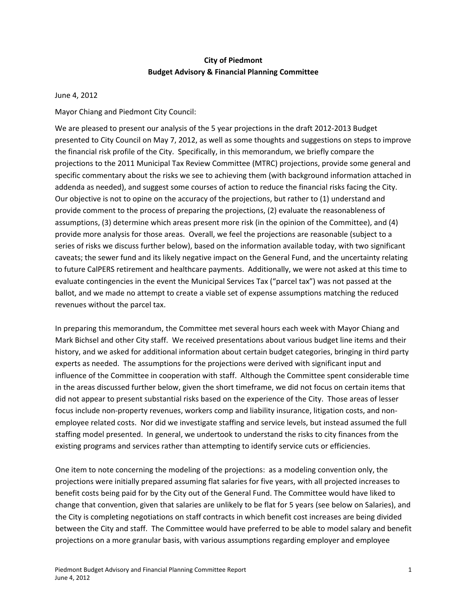# **City of Piedmont Budget Advisory & Financial Planning Committee**

#### June 4, 2012

Mayor Chiang and Piedmont City Council:

We are pleased to present our analysis of the 5 year projections in the draft 2012-2013 Budget presented to City Council on May 7, 2012, as well as some thoughts and suggestions on steps to improve the financial risk profile of the City. Specifically, in this memorandum, we briefly compare the projections to the 2011 Municipal Tax Review Committee (MTRC) projections, provide some general and specific commentary about the risks we see to achieving them (with background information attached in addenda as needed), and suggest some courses of action to reduce the financial risks facing the City. Our objective is not to opine on the accuracy of the projections, but rather to (1) understand and provide comment to the process of preparing the projections, (2) evaluate the reasonableness of assumptions, (3) determine which areas present more risk (in the opinion of the Committee), and (4) provide more analysis for those areas. Overall, we feel the projections are reasonable (subject to a series of risks we discuss further below), based on the information available today, with two significant caveats; the sewer fund and its likely negative impact on the General Fund, and the uncertainty relating to future CalPERS retirement and healthcare payments. Additionally, we were not asked at this time to evaluate contingencies in the event the Municipal Services Tax ("parcel tax") was not passed at the ballot, and we made no attempt to create a viable set of expense assumptions matching the reduced revenues without the parcel tax.

In preparing this memorandum, the Committee met several hours each week with Mayor Chiang and Mark Bichsel and other City staff. We received presentations about various budget line items and their history, and we asked for additional information about certain budget categories, bringing in third party experts as needed. The assumptions for the projections were derived with significant input and influence of the Committee in cooperation with staff. Although the Committee spent considerable time in the areas discussed further below, given the short timeframe, we did not focus on certain items that did not appear to present substantial risks based on the experience of the City. Those areas of lesser focus include non‐property revenues, workers comp and liability insurance, litigation costs, and non‐ employee related costs. Nor did we investigate staffing and service levels, but instead assumed the full staffing model presented. In general, we undertook to understand the risks to city finances from the existing programs and services rather than attempting to identify service cuts or efficiencies.

One item to note concerning the modeling of the projections: as a modeling convention only, the projections were initially prepared assuming flat salaries for five years, with all projected increases to benefit costs being paid for by the City out of the General Fund. The Committee would have liked to change that convention, given that salaries are unlikely to be flat for 5 years (see below on Salaries), and the City is completing negotiations on staff contracts in which benefit cost increases are being divided between the City and staff. The Committee would have preferred to be able to model salary and benefit projections on a more granular basis, with various assumptions regarding employer and employee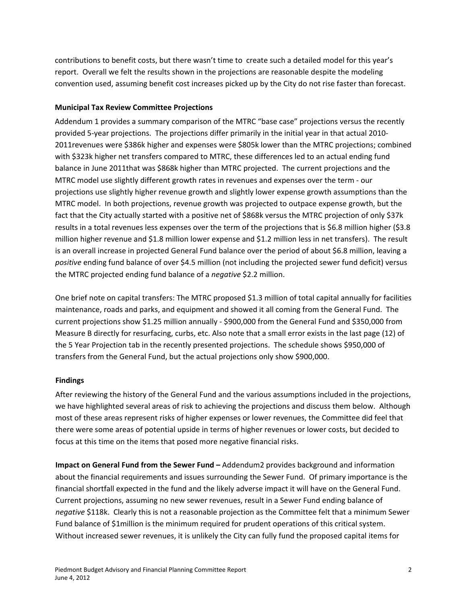contributions to benefit costs, but there wasn't time to create such a detailed model for this year's report. Overall we felt the results shown in the projections are reasonable despite the modeling convention used, assuming benefit cost increases picked up by the City do not rise faster than forecast.

### **Municipal Tax Review Committee Projections**

Addendum 1 provides a summary comparison of the MTRC "base case" projections versus the recently provided 5‐year projections. The projections differ primarily in the initial year in that actual 2010‐ 2011revenues were \$386k higher and expenses were \$805k lower than the MTRC projections; combined with \$323k higher net transfers compared to MTRC, these differences led to an actual ending fund balance in June 2011that was \$868k higher than MTRC projected. The current projections and the MTRC model use slightly different growth rates in revenues and expenses over the term - our projections use slightly higher revenue growth and slightly lower expense growth assumptions than the MTRC model. In both projections, revenue growth was projected to outpace expense growth, but the fact that the City actually started with a positive net of \$868k versus the MTRC projection of only \$37k results in a total revenues less expenses over the term of the projections that is \$6.8 million higher (\$3.8 million higher revenue and \$1.8 million lower expense and \$1.2 million less in net transfers). The result is an overall increase in projected General Fund balance over the period of about \$6.8 million, leaving a *positive* ending fund balance of over \$4.5 million (not including the projected sewer fund deficit) versus the MTRC projected ending fund balance of a *negative* \$2.2 million.

One brief note on capital transfers: The MTRC proposed \$1.3 million of total capital annually for facilities maintenance, roads and parks, and equipment and showed it all coming from the General Fund. The current projections show \$1.25 million annually ‐ \$900,000 from the General Fund and \$350,000 from Measure B directly for resurfacing, curbs, etc. Also note that a small error exists in the last page (12) of the 5 Year Projection tab in the recently presented projections. The schedule shows \$950,000 of transfers from the General Fund, but the actual projections only show \$900,000.

### **Findings**

After reviewing the history of the General Fund and the various assumptions included in the projections, we have highlighted several areas of risk to achieving the projections and discuss them below. Although most of these areas represent risks of higher expenses or lower revenues, the Committee did feel that there were some areas of potential upside in terms of higher revenues or lower costs, but decided to focus at this time on the items that posed more negative financial risks.

**Impact on General Fund from the Sewer Fund –** Addendum2 provides background and information about the financial requirements and issues surrounding the Sewer Fund. Of primary importance is the financial shortfall expected in the fund and the likely adverse impact it will have on the General Fund. Current projections, assuming no new sewer revenues, result in a Sewer Fund ending balance of *negative* \$118k. Clearly this is not a reasonable projection as the Committee felt that a minimum Sewer Fund balance of \$1million is the minimum required for prudent operations of this critical system. Without increased sewer revenues, it is unlikely the City can fully fund the proposed capital items for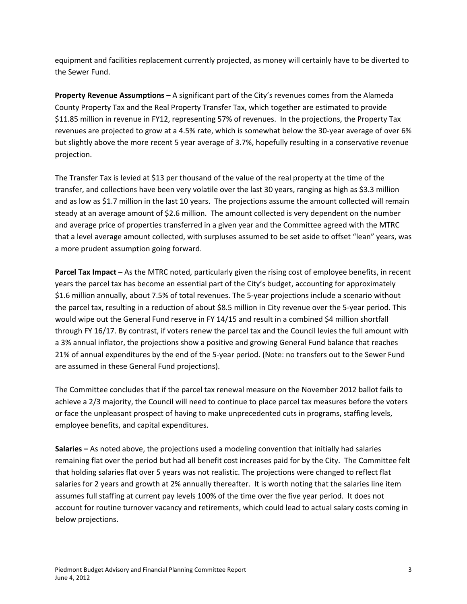equipment and facilities replacement currently projected, as money will certainly have to be diverted to the Sewer Fund.

**Property Revenue Assumptions –** A significant part of the City's revenues comes from the Alameda County Property Tax and the Real Property Transfer Tax, which together are estimated to provide \$11.85 million in revenue in FY12, representing 57% of revenues. In the projections, the Property Tax revenues are projected to grow at a 4.5% rate, which is somewhat below the 30‐year average of over 6% but slightly above the more recent 5 year average of 3.7%, hopefully resulting in a conservative revenue projection.

The Transfer Tax is levied at \$13 per thousand of the value of the real property at the time of the transfer, and collections have been very volatile over the last 30 years, ranging as high as \$3.3 million and as low as \$1.7 million in the last 10 years. The projections assume the amount collected will remain steady at an average amount of \$2.6 million. The amount collected is very dependent on the number and average price of properties transferred in a given year and the Committee agreed with the MTRC that a level average amount collected, with surpluses assumed to be set aside to offset "lean" years, was a more prudent assumption going forward.

**Parcel Tax Impact –** As the MTRC noted, particularly given the rising cost of employee benefits, in recent years the parcel tax has become an essential part of the City's budget, accounting for approximately \$1.6 million annually, about 7.5% of total revenues. The 5‐year projections include a scenario without the parcel tax, resulting in a reduction of about \$8.5 million in City revenue over the 5‐year period. This would wipe out the General Fund reserve in FY 14/15 and result in a combined \$4 million shortfall through FY 16/17. By contrast, if voters renew the parcel tax and the Council levies the full amount with a 3% annual inflator, the projections show a positive and growing General Fund balance that reaches 21% of annual expenditures by the end of the 5‐year period. (Note: no transfers out to the Sewer Fund are assumed in these General Fund projections).

The Committee concludes that if the parcel tax renewal measure on the November 2012 ballot fails to achieve a 2/3 majority, the Council will need to continue to place parcel tax measures before the voters or face the unpleasant prospect of having to make unprecedented cuts in programs, staffing levels, employee benefits, and capital expenditures.

**Salaries –** As noted above, the projections used a modeling convention that initially had salaries remaining flat over the period but had all benefit cost increases paid for by the City. The Committee felt that holding salaries flat over 5 years was not realistic. The projections were changed to reflect flat salaries for 2 years and growth at 2% annually thereafter. It is worth noting that the salaries line item assumes full staffing at current pay levels 100% of the time over the five year period. It does not account for routine turnover vacancy and retirements, which could lead to actual salary costs coming in below projections.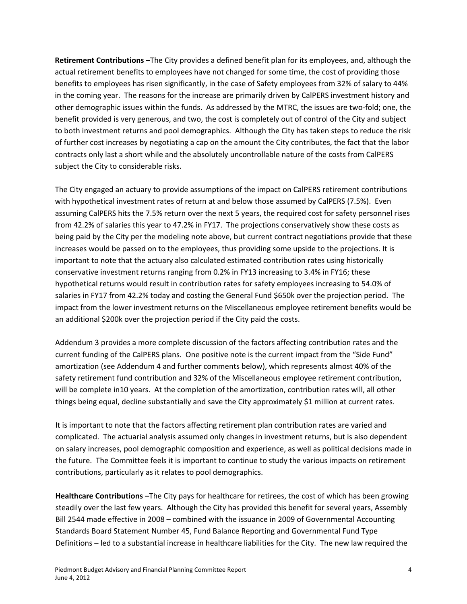**Retirement Contributions –**The City provides a defined benefit plan for its employees, and, although the actual retirement benefits to employees have not changed for some time, the cost of providing those benefits to employees has risen significantly, in the case of Safety employees from 32% of salary to 44% in the coming year. The reasons for the increase are primarily driven by CalPERS investment history and other demographic issues within the funds. As addressed by the MTRC, the issues are two-fold; one, the benefit provided is very generous, and two, the cost is completely out of control of the City and subject to both investment returns and pool demographics. Although the City has taken steps to reduce the risk of further cost increases by negotiating a cap on the amount the City contributes, the fact that the labor contracts only last a short while and the absolutely uncontrollable nature of the costs from CalPERS subject the City to considerable risks.

The City engaged an actuary to provide assumptions of the impact on CalPERS retirement contributions with hypothetical investment rates of return at and below those assumed by CalPERS (7.5%). Even assuming CalPERS hits the 7.5% return over the next 5 years, the required cost for safety personnel rises from 42.2% of salaries this year to 47.2% in FY17. The projections conservatively show these costs as being paid by the City per the modeling note above, but current contract negotiations provide that these increases would be passed on to the employees, thus providing some upside to the projections. It is important to note that the actuary also calculated estimated contribution rates using historically conservative investment returns ranging from 0.2% in FY13 increasing to 3.4% in FY16; these hypothetical returns would result in contribution rates for safety employees increasing to 54.0% of salaries in FY17 from 42.2% today and costing the General Fund \$650k over the projection period. The impact from the lower investment returns on the Miscellaneous employee retirement benefits would be an additional \$200k over the projection period if the City paid the costs.

Addendum 3 provides a more complete discussion of the factors affecting contribution rates and the current funding of the CalPERS plans. One positive note is the current impact from the "Side Fund" amortization (see Addendum 4 and further comments below), which represents almost 40% of the safety retirement fund contribution and 32% of the Miscellaneous employee retirement contribution, will be complete in10 years. At the completion of the amortization, contribution rates will, all other things being equal, decline substantially and save the City approximately \$1 million at current rates.

It is important to note that the factors affecting retirement plan contribution rates are varied and complicated. The actuarial analysis assumed only changes in investment returns, but is also dependent on salary increases, pool demographic composition and experience, as well as political decisions made in the future. The Committee feels it is important to continue to study the various impacts on retirement contributions, particularly as it relates to pool demographics.

**Healthcare Contributions –**The City pays for healthcare for retirees, the cost of which has been growing steadily over the last few years. Although the City has provided this benefit for several years, Assembly Bill 2544 made effective in 2008 – combined with the issuance in 2009 of Governmental Accounting Standards Board Statement Number 45, Fund Balance Reporting and Governmental Fund Type Definitions – led to a substantial increase in healthcare liabilities for the City. The new law required the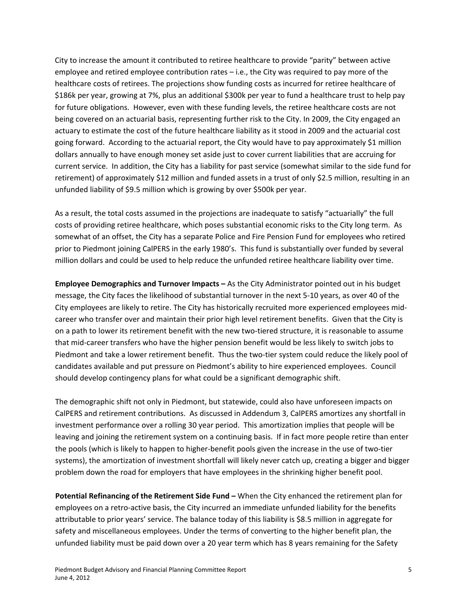City to increase the amount it contributed to retiree healthcare to provide "parity" between active employee and retired employee contribution rates – i.e., the City was required to pay more of the healthcare costs of retirees. The projections show funding costs as incurred for retiree healthcare of \$186k per year, growing at 7%, plus an additional \$300k per year to fund a healthcare trust to help pay for future obligations. However, even with these funding levels, the retiree healthcare costs are not being covered on an actuarial basis, representing further risk to the City. In 2009, the City engaged an actuary to estimate the cost of the future healthcare liability as it stood in 2009 and the actuarial cost going forward. According to the actuarial report, the City would have to pay approximately \$1 million dollars annually to have enough money set aside just to cover current liabilities that are accruing for current service. In addition, the City has a liability for past service (somewhat similar to the side fund for retirement) of approximately \$12 million and funded assets in a trust of only \$2.5 million, resulting in an unfunded liability of \$9.5 million which is growing by over \$500k per year.

As a result, the total costs assumed in the projections are inadequate to satisfy "actuarially" the full costs of providing retiree healthcare, which poses substantial economic risks to the City long term. As somewhat of an offset, the City has a separate Police and Fire Pension Fund for employees who retired prior to Piedmont joining CalPERS in the early 1980's. This fund is substantially over funded by several million dollars and could be used to help reduce the unfunded retiree healthcare liability over time.

**Employee Demographics and Turnover Impacts –** As the City Administrator pointed out in his budget message, the City faces the likelihood of substantial turnover in the next 5‐10 years, as over 40 of the City employees are likely to retire. The City has historically recruited more experienced employees mid‐ career who transfer over and maintain their prior high level retirement benefits. Given that the City is on a path to lower its retirement benefit with the new two-tiered structure, it is reasonable to assume that mid‐career transfers who have the higher pension benefit would be less likely to switch jobs to Piedmont and take a lower retirement benefit. Thus the two-tier system could reduce the likely pool of candidates available and put pressure on Piedmont's ability to hire experienced employees. Council should develop contingency plans for what could be a significant demographic shift.

The demographic shift not only in Piedmont, but statewide, could also have unforeseen impacts on CalPERS and retirement contributions. As discussed in Addendum 3, CalPERS amortizes any shortfall in investment performance over a rolling 30 year period. This amortization implies that people will be leaving and joining the retirement system on a continuing basis. If in fact more people retire than enter the pools (which is likely to happen to higher‐benefit pools given the increase in the use of two‐tier systems), the amortization of investment shortfall will likely never catch up, creating a bigger and bigger problem down the road for employers that have employees in the shrinking higher benefit pool.

**Potential Refinancing of the Retirement Side Fund –** When the City enhanced the retirement plan for employees on a retro-active basis, the City incurred an immediate unfunded liability for the benefits attributable to prior years' service. The balance today of this liability is \$8.5 million in aggregate for safety and miscellaneous employees. Under the terms of converting to the higher benefit plan, the unfunded liability must be paid down over a 20 year term which has 8 years remaining for the Safety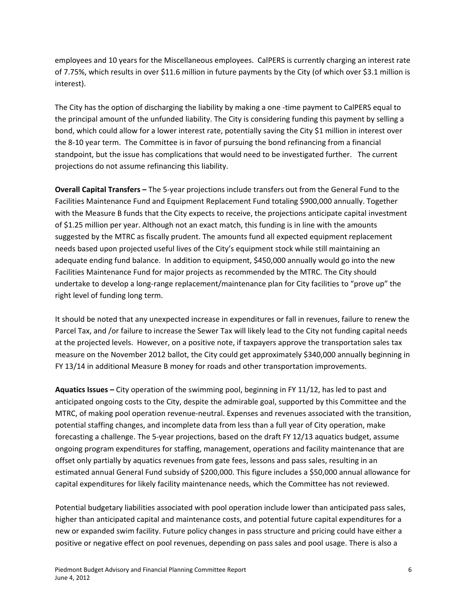employees and 10 years for the Miscellaneous employees. CalPERS is currently charging an interest rate of 7.75%, which results in over \$11.6 million in future payments by the City (of which over \$3.1 million is interest).

The City has the option of discharging the liability by making a one ‐time payment to CalPERS equal to the principal amount of the unfunded liability. The City is considering funding this payment by selling a bond, which could allow for a lower interest rate, potentially saving the City \$1 million in interest over the 8‐10 year term. The Committee is in favor of pursuing the bond refinancing from a financial standpoint, but the issue has complications that would need to be investigated further. The current projections do not assume refinancing this liability.

**Overall Capital Transfers –** The 5‐year projections include transfers out from the General Fund to the Facilities Maintenance Fund and Equipment Replacement Fund totaling \$900,000 annually. Together with the Measure B funds that the City expects to receive, the projections anticipate capital investment of \$1.25 million per year. Although not an exact match, this funding is in line with the amounts suggested by the MTRC as fiscally prudent. The amounts fund all expected equipment replacement needs based upon projected useful lives of the City's equipment stock while still maintaining an adequate ending fund balance. In addition to equipment, \$450,000 annually would go into the new Facilities Maintenance Fund for major projects as recommended by the MTRC. The City should undertake to develop a long‐range replacement/maintenance plan for City facilities to "prove up" the right level of funding long term.

It should be noted that any unexpected increase in expenditures or fall in revenues, failure to renew the Parcel Tax, and /or failure to increase the Sewer Tax will likely lead to the City not funding capital needs at the projected levels. However, on a positive note, if taxpayers approve the transportation sales tax measure on the November 2012 ballot, the City could get approximately \$340,000 annually beginning in FY 13/14 in additional Measure B money for roads and other transportation improvements.

**Aquatics Issues –** City operation of the swimming pool, beginning in FY 11/12, has led to past and anticipated ongoing costs to the City, despite the admirable goal, supported by this Committee and the MTRC, of making pool operation revenue‐neutral. Expenses and revenues associated with the transition, potential staffing changes, and incomplete data from less than a full year of City operation, make forecasting a challenge. The 5‐year projections, based on the draft FY 12/13 aquatics budget, assume ongoing program expenditures for staffing, management, operations and facility maintenance that are offset only partially by aquatics revenues from gate fees, lessons and pass sales, resulting in an estimated annual General Fund subsidy of \$200,000. This figure includes a \$50,000 annual allowance for capital expenditures for likely facility maintenance needs, which the Committee has not reviewed.

Potential budgetary liabilities associated with pool operation include lower than anticipated pass sales, higher than anticipated capital and maintenance costs, and potential future capital expenditures for a new or expanded swim facility. Future policy changes in pass structure and pricing could have either a positive or negative effect on pool revenues, depending on pass sales and pool usage. There is also a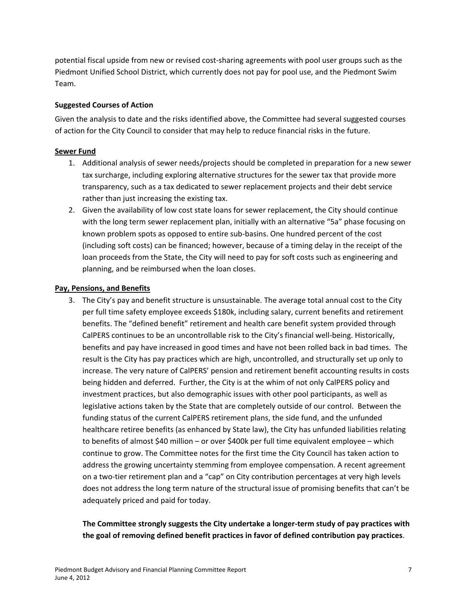potential fiscal upside from new or revised cost‐sharing agreements with pool user groups such as the Piedmont Unified School District, which currently does not pay for pool use, and the Piedmont Swim Team.

#### **Suggested Courses of Action**

Given the analysis to date and the risks identified above, the Committee had several suggested courses of action for the City Council to consider that may help to reduce financial risks in the future.

### **Sewer Fund**

- 1. Additional analysis of sewer needs/projects should be completed in preparation for a new sewer tax surcharge, including exploring alternative structures for the sewer tax that provide more transparency, such as a tax dedicated to sewer replacement projects and their debt service rather than just increasing the existing tax.
- 2. Given the availability of low cost state loans for sewer replacement, the City should continue with the long term sewer replacement plan, initially with an alternative "5a" phase focusing on known problem spots as opposed to entire sub‐basins. One hundred percent of the cost (including soft costs) can be financed; however, because of a timing delay in the receipt of the loan proceeds from the State, the City will need to pay for soft costs such as engineering and planning, and be reimbursed when the loan closes.

### **Pay, Pensions, and Benefits**

3. The City's pay and benefit structure is unsustainable. The average total annual cost to the City per full time safety employee exceeds \$180k, including salary, current benefits and retirement benefits. The "defined benefit" retirement and health care benefit system provided through CalPERS continues to be an uncontrollable risk to the City's financial well‐being. Historically, benefits and pay have increased in good times and have not been rolled back in bad times. The result is the City has pay practices which are high, uncontrolled, and structurally set up only to increase. The very nature of CalPERS' pension and retirement benefit accounting results in costs being hidden and deferred. Further, the City is at the whim of not only CalPERS policy and investment practices, but also demographic issues with other pool participants, as well as legislative actions taken by the State that are completely outside of our control. Between the funding status of the current CalPERS retirement plans, the side fund, and the unfunded healthcare retiree benefits (as enhanced by State law), the City has unfunded liabilities relating to benefits of almost \$40 million – or over \$400k per full time equivalent employee – which continue to grow. The Committee notes for the first time the City Council has taken action to address the growing uncertainty stemming from employee compensation. A recent agreement on a two-tier retirement plan and a "cap" on City contribution percentages at very high levels does not address the long term nature of the structural issue of promising benefits that can't be adequately priced and paid for today.

### **The Committee strongly suggests the City undertake a longer‐term study of pay practices with the goal of removing defined benefit practices in favor of defined contribution pay practices**.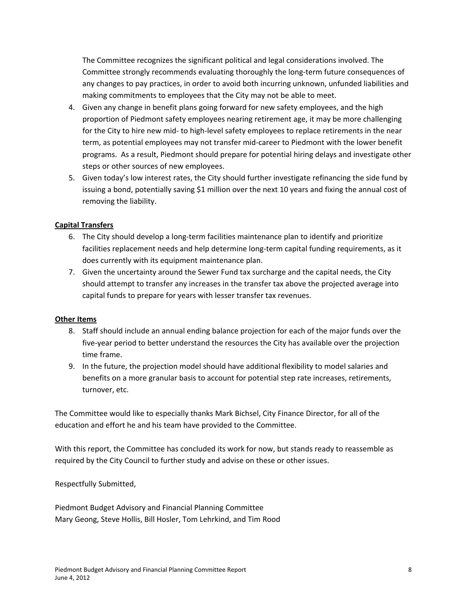The Committee recognizes the significant political and legal considerations involved. The Committee strongly recommends evaluating thoroughly the long‐term future consequences of any changes to pay practices, in order to avoid both incurring unknown, unfunded liabilities and making commitments to employees that the City may not be able to meet.

- 4. Given any change in benefit plans going forward for new safety employees, and the high proportion of Piedmont safety employees nearing retirement age, it may be more challenging for the City to hire new mid- to high-level safety employees to replace retirements in the near term, as potential employees may not transfer mid-career to Piedmont with the lower benefit programs. As a result, Piedmont should prepare for potential hiring delays and investigate other steps or other sources of new employees.
- 5. Given today's low interest rates, the City should further investigate refinancing the side fund by issuing a bond, potentially saving \$1 million over the next 10 years and fixing the annual cost of removing the liability.

### **Capital Transfers**

- 6. The City should develop a long-term facilities maintenance plan to identify and prioritize facilities replacement needs and help determine long-term capital funding requirements, as it does currently with its equipment maintenance plan.
- 7. Given the uncertainty around the Sewer Fund tax surcharge and the capital needs, the City should attempt to transfer any increases in the transfer tax above the projected average into capital funds to prepare for years with lesser transfer tax revenues.

#### **Other Items**

- 8. Staff should include an annual ending balance projection for each of the major funds over the five‐year period to better understand the resources the City has available over the projection time frame.
- 9. In the future, the projection model should have additional flexibility to model salaries and benefits on a more granular basis to account for potential step rate increases, retirements, turnover, etc.

The Committee would like to especially thanks Mark Bichsel, City Finance Director, for all of the education and effort he and his team have provided to the Committee.

With this report, the Committee has concluded its work for now, but stands ready to reassemble as required by the City Council to further study and advise on these or other issues.

Respectfully Submitted,

Piedmont Budget Advisory and Financial Planning Committee Mary Geong, Steve Hollis, Bill Hosler, Tom Lehrkind, and Tim Rood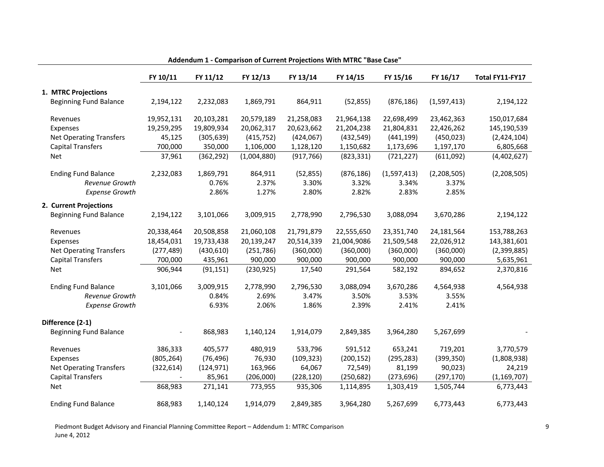|                                | FY 10/11   | FY 11/12   | FY 12/13    | FY 13/14   | FY 14/15    | FY 15/16    | FY 16/17    | Total FY11-FY17 |
|--------------------------------|------------|------------|-------------|------------|-------------|-------------|-------------|-----------------|
| 1. MTRC Projections            |            |            |             |            |             |             |             |                 |
| <b>Beginning Fund Balance</b>  | 2,194,122  | 2,232,083  | 1,869,791   | 864,911    | (52, 855)   | (876, 186)  | (1,597,413) | 2,194,122       |
| Revenues                       | 19,952,131 | 20,103,281 | 20,579,189  | 21,258,083 | 21,964,138  | 22,698,499  | 23,462,363  | 150,017,684     |
| Expenses                       | 19,259,295 | 19,809,934 | 20,062,317  | 20,623,662 | 21,204,238  | 21,804,831  | 22,426,262  | 145,190,539     |
| <b>Net Operating Transfers</b> | 45,125     | (305, 639) | (415, 752)  | (424, 067) | (432, 549)  | (441, 199)  | (450, 023)  | (2,424,104)     |
| <b>Capital Transfers</b>       | 700,000    | 350,000    | 1,106,000   | 1,128,120  | 1,150,682   | 1,173,696   | 1,197,170   | 6,805,668       |
| <b>Net</b>                     | 37,961     | (362, 292) | (1,004,880) | (917, 766) | (823, 331)  | (721, 227)  | (611,092)   | (4,402,627)     |
| <b>Ending Fund Balance</b>     | 2,232,083  | 1,869,791  | 864,911     | (52, 855)  | (876, 186)  | (1,597,413) | (2,208,505) | (2,208,505)     |
| <b>Revenue Growth</b>          |            | 0.76%      | 2.37%       | 3.30%      | 3.32%       | 3.34%       | 3.37%       |                 |
| <b>Expense Growth</b>          |            | 2.86%      | 1.27%       | 2.80%      | 2.82%       | 2.83%       | 2.85%       |                 |
| 2. Current Projections         |            |            |             |            |             |             |             |                 |
| <b>Beginning Fund Balance</b>  | 2,194,122  | 3,101,066  | 3,009,915   | 2,778,990  | 2,796,530   | 3,088,094   | 3,670,286   | 2,194,122       |
| Revenues                       | 20,338,464 | 20,508,858 | 21,060,108  | 21,791,879 | 22,555,650  | 23,351,740  | 24,181,564  | 153,788,263     |
| Expenses                       | 18,454,031 | 19,733,438 | 20,139,247  | 20,514,339 | 21,004,9086 | 21,509,548  | 22,026,912  | 143,381,601     |
| <b>Net Operating Transfers</b> | (277, 489) | (430, 610) | (251, 786)  | (360,000)  | (360,000)   | (360,000)   | (360,000)   | (2,399,885)     |
| <b>Capital Transfers</b>       | 700,000    | 435,961    | 900,000     | 900,000    | 900,000     | 900,000     | 900,000     | 5,635,961       |
| <b>Net</b>                     | 906,944    | (91, 151)  | (230, 925)  | 17,540     | 291,564     | 582,192     | 894,652     | 2,370,816       |
| <b>Ending Fund Balance</b>     | 3,101,066  | 3,009,915  | 2,778,990   | 2,796,530  | 3,088,094   | 3,670,286   | 4,564,938   | 4,564,938       |
| <b>Revenue Growth</b>          |            | 0.84%      | 2.69%       | 3.47%      | 3.50%       | 3.53%       | 3.55%       |                 |
| <b>Expense Growth</b>          |            | 6.93%      | 2.06%       | 1.86%      | 2.39%       | 2.41%       | 2.41%       |                 |
| Difference (2-1)               |            |            |             |            |             |             |             |                 |
| <b>Beginning Fund Balance</b>  |            | 868,983    | 1,140,124   | 1,914,079  | 2,849,385   | 3,964,280   | 5,267,699   |                 |
| Revenues                       | 386,333    | 405,577    | 480,919     | 533,796    | 591,512     | 653,241     | 719,201     | 3,770,579       |
| Expenses                       | (805, 264) | (76, 496)  | 76,930      | (109, 323) | (200, 152)  | (295, 283)  | (399, 350)  | (1,808,938)     |
| <b>Net Operating Transfers</b> | (322, 614) | (124, 971) | 163,966     | 64,067     | 72,549)     | 81,199      | 90,023)     | 24,219          |
| <b>Capital Transfers</b>       |            | 85,961     | (206,000)   | (228, 120) | (250, 682)  | (273, 696)  | (297, 170)  | (1, 169, 707)   |
| <b>Net</b>                     | 868,983    | 271,141    | 773,955     | 935,306    | 1,114,895   | 1,303,419   | 1,505,744   | 6,773,443       |
| <b>Ending Fund Balance</b>     | 868,983    | 1,140,124  | 1,914,079   | 2,849,385  | 3,964,280   | 5,267,699   | 6,773,443   | 6,773,443       |

#### **Addendum 1 ‐ Comparison of Current Projections With MTRC "Base Case"**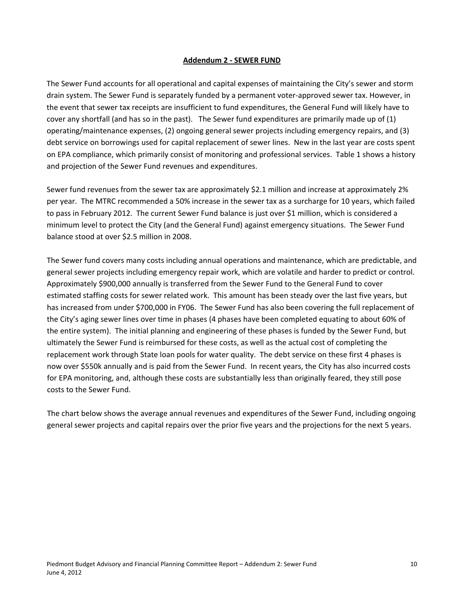#### **Addendum 2 ‐ SEWER FUND**

The Sewer Fund accounts for all operational and capital expenses of maintaining the City's sewer and storm drain system. The Sewer Fund is separately funded by a permanent voter‐approved sewer tax. However, in the event that sewer tax receipts are insufficient to fund expenditures, the General Fund will likely have to cover any shortfall (and has so in the past). The Sewer fund expenditures are primarily made up of (1) operating/maintenance expenses, (2) ongoing general sewer projects including emergency repairs, and (3) debt service on borrowings used for capital replacement of sewer lines. New in the last year are costs spent on EPA compliance, which primarily consist of monitoring and professional services. Table 1 shows a history and projection of the Sewer Fund revenues and expenditures.

Sewer fund revenues from the sewer tax are approximately \$2.1 million and increase at approximately 2% per year. The MTRC recommended a 50% increase in the sewer tax as a surcharge for 10 years, which failed to pass in February 2012. The current Sewer Fund balance is just over \$1 million, which is considered a minimum level to protect the City (and the General Fund) against emergency situations. The Sewer Fund balance stood at over \$2.5 million in 2008.

The Sewer fund covers many costs including annual operations and maintenance, which are predictable, and general sewer projects including emergency repair work, which are volatile and harder to predict or control. Approximately \$900,000 annually is transferred from the Sewer Fund to the General Fund to cover estimated staffing costs for sewer related work. This amount has been steady over the last five years, but has increased from under \$700,000 in FY06. The Sewer Fund has also been covering the full replacement of the City's aging sewer lines over time in phases (4 phases have been completed equating to about 60% of the entire system). The initial planning and engineering of these phases is funded by the Sewer Fund, but ultimately the Sewer Fund is reimbursed for these costs, as well as the actual cost of completing the replacement work through State loan pools for water quality. The debt service on these first 4 phases is now over \$550k annually and is paid from the Sewer Fund. In recent years, the City has also incurred costs for EPA monitoring, and, although these costs are substantially less than originally feared, they still pose costs to the Sewer Fund.

The chart below shows the average annual revenues and expenditures of the Sewer Fund, including ongoing general sewer projects and capital repairs over the prior five years and the projections for the next 5 years.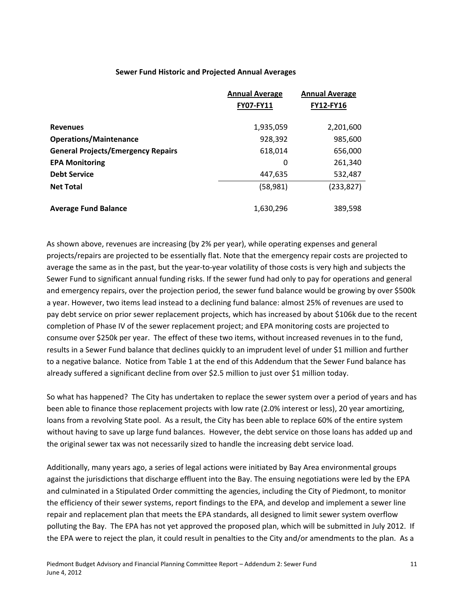#### **Sewer Fund Historic and Projected Annual Averages**

|                                           | <b>Annual Average</b> | <b>Annual Average</b> |
|-------------------------------------------|-----------------------|-----------------------|
|                                           | <b>FY07-FY11</b>      | <b>FY12-FY16</b>      |
|                                           |                       |                       |
| <b>Revenues</b>                           | 1,935,059             | 2,201,600             |
| <b>Operations/Maintenance</b>             | 928,392               | 985,600               |
| <b>General Projects/Emergency Repairs</b> | 618,014               | 656,000               |
| <b>EPA Monitoring</b>                     | 0                     | 261,340               |
| <b>Debt Service</b>                       | 447,635               | 532,487               |
| <b>Net Total</b>                          | (58, 981)             | (233, 827)            |
|                                           |                       |                       |
| <b>Average Fund Balance</b>               | 1,630,296             | 389,598               |

As shown above, revenues are increasing (by 2% per year), while operating expenses and general projects/repairs are projected to be essentially flat. Note that the emergency repair costs are projected to average the same as in the past, but the year‐to‐year volatility of those costs is very high and subjects the Sewer Fund to significant annual funding risks. If the sewer fund had only to pay for operations and general and emergency repairs, over the projection period, the sewer fund balance would be growing by over \$500k a year. However, two items lead instead to a declining fund balance: almost 25% of revenues are used to pay debt service on prior sewer replacement projects, which has increased by about \$106k due to the recent completion of Phase IV of the sewer replacement project; and EPA monitoring costs are projected to consume over \$250k per year. The effect of these two items, without increased revenues in to the fund, results in a Sewer Fund balance that declines quickly to an imprudent level of under \$1 million and further to a negative balance. Notice from Table 1 at the end of this Addendum that the Sewer Fund balance has already suffered a significant decline from over \$2.5 million to just over \$1 million today.

So what has happened? The City has undertaken to replace the sewer system over a period of years and has been able to finance those replacement projects with low rate (2.0% interest or less), 20 year amortizing, loans from a revolving State pool. As a result, the City has been able to replace 60% of the entire system without having to save up large fund balances. However, the debt service on those loans has added up and the original sewer tax was not necessarily sized to handle the increasing debt service load.

Additionally, many years ago, a series of legal actions were initiated by Bay Area environmental groups against the jurisdictions that discharge effluent into the Bay. The ensuing negotiations were led by the EPA and culminated in a Stipulated Order committing the agencies, including the City of Piedmont, to monitor the efficiency of their sewer systems, report findings to the EPA, and develop and implement a sewer line repair and replacement plan that meets the EPA standards, all designed to limit sewer system overflow polluting the Bay. The EPA has not yet approved the proposed plan, which will be submitted in July 2012. If the EPA were to reject the plan, it could result in penalties to the City and/or amendments to the plan. As a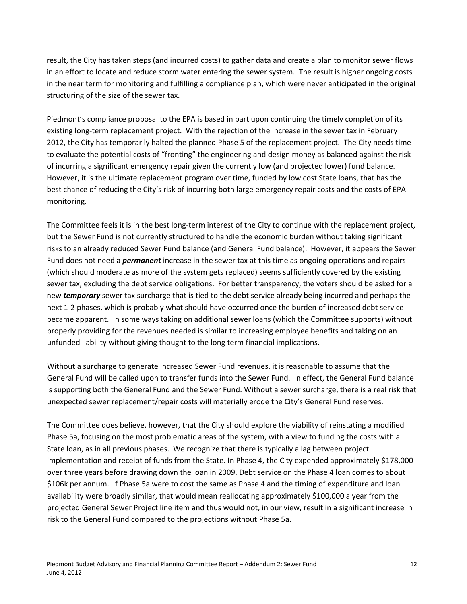result, the City has taken steps (and incurred costs) to gather data and create a plan to monitor sewer flows in an effort to locate and reduce storm water entering the sewer system. The result is higher ongoing costs in the near term for monitoring and fulfilling a compliance plan, which were never anticipated in the original structuring of the size of the sewer tax.

Piedmont's compliance proposal to the EPA is based in part upon continuing the timely completion of its existing long‐term replacement project. With the rejection of the increase in the sewer tax in February 2012, the City has temporarily halted the planned Phase 5 of the replacement project. The City needs time to evaluate the potential costs of "fronting" the engineering and design money as balanced against the risk of incurring a significant emergency repair given the currently low (and projected lower) fund balance. However, it is the ultimate replacement program over time, funded by low cost State loans, that has the best chance of reducing the City's risk of incurring both large emergency repair costs and the costs of EPA monitoring.

The Committee feels it is in the best long‐term interest of the City to continue with the replacement project, but the Sewer Fund is not currently structured to handle the economic burden without taking significant risks to an already reduced Sewer Fund balance (and General Fund balance). However, it appears the Sewer Fund does not need a *permanent* increase in the sewer tax at this time as ongoing operations and repairs (which should moderate as more of the system gets replaced) seems sufficiently covered by the existing sewer tax, excluding the debt service obligations. For better transparency, the voters should be asked for a new *temporary* sewer tax surcharge that is tied to the debt service already being incurred and perhaps the next 1‐2 phases, which is probably what should have occurred once the burden of increased debt service became apparent. In some ways taking on additional sewer loans (which the Committee supports) without properly providing for the revenues needed is similar to increasing employee benefits and taking on an unfunded liability without giving thought to the long term financial implications.

Without a surcharge to generate increased Sewer Fund revenues, it is reasonable to assume that the General Fund will be called upon to transfer funds into the Sewer Fund. In effect, the General Fund balance is supporting both the General Fund and the Sewer Fund. Without a sewer surcharge, there is a real risk that unexpected sewer replacement/repair costs will materially erode the City's General Fund reserves.

The Committee does believe, however, that the City should explore the viability of reinstating a modified Phase 5a, focusing on the most problematic areas of the system, with a view to funding the costs with a State loan, as in all previous phases. We recognize that there is typically a lag between project implementation and receipt of funds from the State. In Phase 4, the City expended approximately \$178,000 over three years before drawing down the loan in 2009. Debt service on the Phase 4 loan comes to about \$106k per annum. If Phase 5a were to cost the same as Phase 4 and the timing of expenditure and loan availability were broadly similar, that would mean reallocating approximately \$100,000 a year from the projected General Sewer Project line item and thus would not, in our view, result in a significant increase in risk to the General Fund compared to the projections without Phase 5a.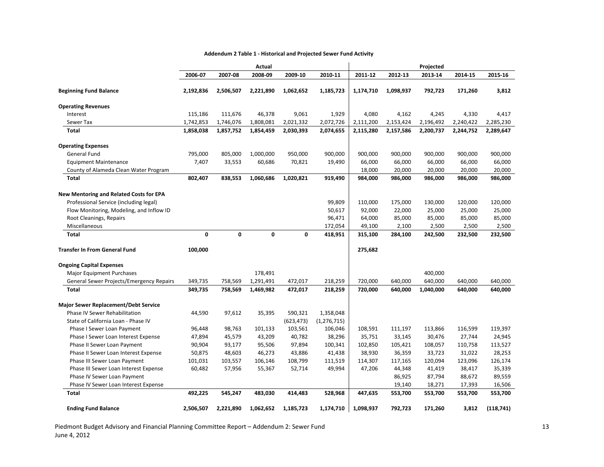#### **Addendum 2 Table 1 ‐ Historical and Projected Sewer Fund Activity**

|                                                 |           |           | Actual      |            |               |           |           | Projected |           |           |
|-------------------------------------------------|-----------|-----------|-------------|------------|---------------|-----------|-----------|-----------|-----------|-----------|
|                                                 | 2006-07   | 2007-08   | 2008-09     | 2009-10    | 2010-11       | 2011-12   | 2012-13   | 2013 14   | 2014-15   | 2015-16   |
| <b>Beginning Fund Balance</b>                   | 2,192,836 | 2,506,507 | 2,221,890   | 1,062,652  | 1,185,723     | 1,174,710 | 1,098,937 | 792,723   | 171,260   | 3,812     |
|                                                 |           |           |             |            |               |           |           |           |           |           |
| <b>Operating Revenues</b><br>Interest           | 115,186   | 111,676   |             | 9,061      | 1,929         | 4,080     | 4,162     | 4,245     | 4,330     | 4,417     |
|                                                 |           |           | 46,378      |            |               | 2,111,200 |           |           |           |           |
| Sewer Tax                                       | 1,742,853 | 1,746,076 | 1,808,081   | 2,021,332  | 2,072,726     |           | 2,153,424 | 2,196,492 | 2,240,422 | 2,285,230 |
| Total                                           | 1,858,038 | 1,857,752 | 1,854,459   | 2,030,393  | 2,074,655     | 2,115,280 | 2,157,586 | 2,200,737 | 2,244,752 | 2,289,647 |
| <b>Operating Expenses</b>                       |           |           |             |            |               |           |           |           |           |           |
| <b>General Fund</b>                             | 795,000   | 805,000   | 1,000,000   | 950,000    | 900,000       | 900,000   | 900,000   | 900,000   | 900,000   | 900,000   |
| <b>Equipment Maintenance</b>                    | 7,407     | 33,553    | 60,686      | 70,821     | 19,490        | 66,000    | 66,000    | 66,000    | 66,000    | 66,000    |
| County of Alameda Clean Water Program           |           |           |             |            |               | 18,000    | 20,000    | 20,000    | 20,000    | 20,000    |
| <b>Total</b>                                    | 802,407   | 838,553   | 1,060,686   | 1,020,821  | 919,490       | 984,000   | 986,000   | 986,000   | 986,000   | 986,000   |
| <b>New Mentoring and Related Costs for EPA</b>  |           |           |             |            |               |           |           |           |           |           |
| Professional Service (including legal)          |           |           |             |            | 99,809        | 110,000   | 175,000   | 130,000   | 120,000   | 120,000   |
| Flow Monitoring, Modeling, and Inflow ID        |           |           |             |            | 50,617        | 92,000    | 22,000    | 25,000    | 25,000    | 25,000    |
| Root Cleanings, Repairs                         |           |           |             |            | 96,471        | 64,000    | 85,000    | 85,000    | 85,000    | 85,000    |
| Miscellaneous                                   |           |           |             |            | 172,054       | 49,100    | 2,100     | 2,500     | 2,500     | 2,500     |
| <b>Total</b>                                    | 0         | 0         | $\mathbf 0$ | 0          | 418,951       | 315,100   | 284,100   | 242,500   | 232,500   | 232,500   |
|                                                 |           |           |             |            |               |           |           |           |           |           |
| <b>Transfer In From General Fund</b>            | 100,000   |           |             |            |               | 275,682   |           |           |           |           |
| <b>Ongoing Capital Expenses</b>                 |           |           |             |            |               |           |           |           |           |           |
| <b>Major Equipment Purchases</b>                |           |           | 178,491     |            |               |           |           | 400,000   |           |           |
| <b>General Sewer Projects/Emergency Repairs</b> | 349,735   | 758,569   | 1,291,491   | 472,017    | 218,259       | 720,000   | 640,000   | 640,000   | 640,000   | 640,000   |
| <b>Total</b>                                    | 349,735   | 758,569   | 1,469,982   | 472,017    | 218,259       | 720,000   | 640,000   | 1,040,000 | 640,000   | 640,000   |
| Major Sewer Replacement/Debt Service            |           |           |             |            |               |           |           |           |           |           |
| <b>Phase IV Sewer Rehabilitation</b>            | 44,590    | 97,612    | 35,395      | 590,321    | 1,358,048     |           |           |           |           |           |
| State of California Loan - Phase IV             |           |           |             | (623, 473) | (1, 276, 715) |           |           |           |           |           |
| Phase I Sewer Loan Payment                      | 96,448    | 98,763    | 101,133     | 103,561    | 106,046       | 108,591   | 111,197   | 113,866   | 116,599   | 119,397   |
| Phase I Sewer Loan Interest Expense             | 47,894    | 45,579    | 43,209      | 40,782     | 38,296        | 35,751    | 33,145    | 30,476    | 27,744    | 24,945    |
| Phase II Sewer Loan Payment                     | 90,904    | 93,177    | 95,506      | 97,894     | 100,341       | 102,850   | 105,421   | 108,057   | 110,758   | 113,527   |
| Phase II Sewer Loan Interest Expense            | 50,875    | 48,603    | 46,273      | 43,886     | 41,438        | 38,930    | 36,359    | 33,723    | 31,022    | 28,253    |
| Phase III Sewer Loan Payment                    | 101,031   | 103,557   | 106,146     | 108,799    | 111,519       | 114,307   | 117,165   | 120,094   | 123,096   | 126,174   |
| Phase III Sewer Loan Interest Expense           | 60,482    | 57,956    | 55,367      | 52,714     | 49,994        | 47,206    | 44,348    | 41,419    | 38,417    | 35,339    |
| Phase IV Sewer Loan Payment                     |           |           |             |            |               |           | 86,925    | 87,794    | 88,672    | 89,559    |
| Phase IV Sewer Loan Interest Expense            |           |           |             |            |               |           | 19,140    | 18,271    | 17,393    | 16,506    |
| <b>Total</b>                                    | 492,225   | 545,247   | 483,030     | 414,483    | 528,968       | 447,635   | 553,700   | 553,700   | 553,700   | 553,700   |
| <b>Ending Fund Balance</b>                      | 2,506,507 | 2,221,890 | 1,062,652   | 1,185,723  | 1,174,710     | 1,098,937 | 792,723   | 171,260   | 3,812     | (118,741) |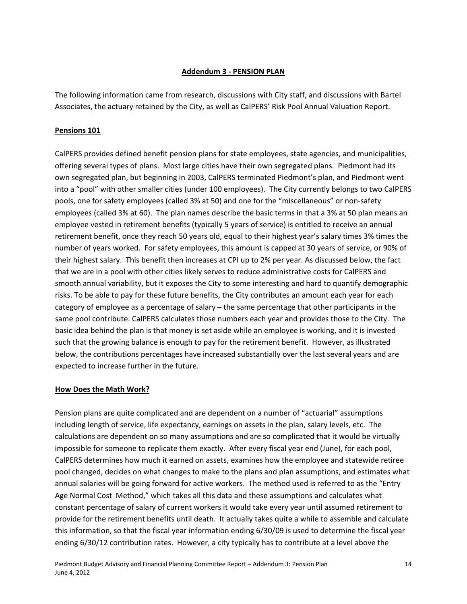### **Addendum 3 ‐ PENSION PLAN**

The following information came from research, discussions with City staff, and discussions with Bartel Associates, the actuary retained by the City, as well as CalPERS' Risk Pool Annual Valuation Report.

### **Pensions 101**

CalPERS provides defined benefit pension plans for state employees, state agencies, and municipalities, offering several types of plans. Most large cities have their own segregated plans. Piedmont had its own segregated plan, but beginning in 2003, CalPERS terminated Piedmont's plan, and Piedmont went into a "pool" with other smaller cities (under 100 employees). The City currently belongs to two CalPERS pools, one for safety employees (called 3% at 50) and one for the "miscellaneous" or non‐safety employees (called 3% at 60). The plan names describe the basic terms in that a 3% at 50 plan means an employee vested in retirement benefits (typically 5 years of service) is entitled to receive an annual retirement benefit, once they reach 50 years old, equal to their highest year's salary times 3% times the number of years worked. For safety employees, this amount is capped at 30 years of service, or 90% of their highest salary. This benefit then increases at CPI up to 2% per year. As discussed below, the fact that we are in a pool with other cities likely serves to reduce administrative costs for CalPERS and smooth annual variability, but it exposes the City to some interesting and hard to quantify demographic risks. To be able to pay for these future benefits, the City contributes an amount each year for each category of employee as a percentage of salary – the same percentage that other participants in the same pool contribute. CalPERS calculates those numbers each year and provides those to the City. The basic idea behind the plan is that money is set aside while an employee is working, and it is invested such that the growing balance is enough to pay for the retirement benefit. However, as illustrated below, the contributions percentages have increased substantially over the last several years and are expected to increase further in the future.

#### **How Does the Math Work?**

Pension plans are quite complicated and are dependent on a number of "actuarial" assumptions including length of service, life expectancy, earnings on assets in the plan, salary levels, etc. The calculations are dependent on so many assumptions and are so complicated that it would be virtually impossible for someone to replicate them exactly. After every fiscal year end (June), for each pool, CalPERS determines how much it earned on assets, examines how the employee and statewide retiree pool changed, decides on what changes to make to the plans and plan assumptions, and estimates what annual salaries will be going forward for active workers. The method used is referred to as the "Entry Age Normal Cost Method," which takes all this data and these assumptions and calculates what constant percentage of salary of current workers it would take every year until assumed retirement to provide for the retirement benefits until death. It actually takes quite a while to assemble and calculate this information, so that the fiscal year information ending 6/30/09 is used to determine the fiscal year ending 6/30/12 contribution rates. However, a city typically has to contribute at a level above the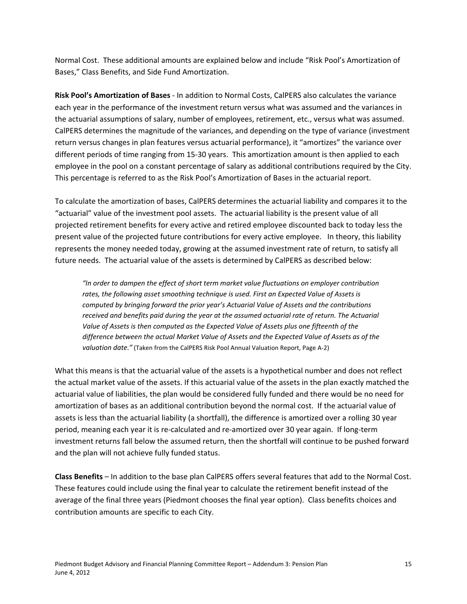Normal Cost. These additional amounts are explained below and include "Risk Pool's Amortization of Bases," Class Benefits, and Side Fund Amortization.

**Risk Pool's Amortization of Bases** ‐ In addition to Normal Costs, CalPERS also calculates the variance each year in the performance of the investment return versus what was assumed and the variances in the actuarial assumptions of salary, number of employees, retirement, etc., versus what was assumed. CalPERS determines the magnitude of the variances, and depending on the type of variance (investment return versus changes in plan features versus actuarial performance), it "amortizes" the variance over different periods of time ranging from 15‐30 years. This amortization amount is then applied to each employee in the pool on a constant percentage of salary as additional contributions required by the City. This percentage is referred to as the Risk Pool's Amortization of Bases in the actuarial report.

To calculate the amortization of bases, CalPERS determines the actuarial liability and compares it to the "actuarial" value of the investment pool assets. The actuarial liability is the present value of all projected retirement benefits for every active and retired employee discounted back to today less the present value of the projected future contributions for every active employee. In theory, this liability represents the money needed today, growing at the assumed investment rate of return, to satisfy all future needs. The actuarial value of the assets is determined by CalPERS as described below:

*"In order to dampen the effect of short term market value fluctuations on employer contribution rates, the following asset smoothing technique is used. First an Expected Value of Assets is computed by bringing forward the prior year's Actuarial Value of Assets and the contributions received and benefits paid during the year at the assumed actuarial rate of return. The Actuarial Value of Assets is then computed as the Expected Value of Assets plus one fifteenth of the difference between the actual Market Value of Assets and the Expected Value of Assets as of the valuation date."* (Taken from the CalPERS Risk Pool Annual Valuation Report, Page A‐2)

What this means is that the actuarial value of the assets is a hypothetical number and does not reflect the actual market value of the assets. If this actuarial value of the assets in the plan exactly matched the actuarial value of liabilities, the plan would be considered fully funded and there would be no need for amortization of bases as an additional contribution beyond the normal cost. If the actuarial value of assets is less than the actuarial liability (a shortfall), the difference is amortized over a rolling 30 year period, meaning each year it is re‐calculated and re‐amortized over 30 year again. If long‐term investment returns fall below the assumed return, then the shortfall will continue to be pushed forward and the plan will not achieve fully funded status.

**Class Benefits** – In addition to the base plan CalPERS offers several features that add to the Normal Cost. These features could include using the final year to calculate the retirement benefit instead of the average of the final three years (Piedmont chooses the final year option). Class benefits choices and contribution amounts are specific to each City.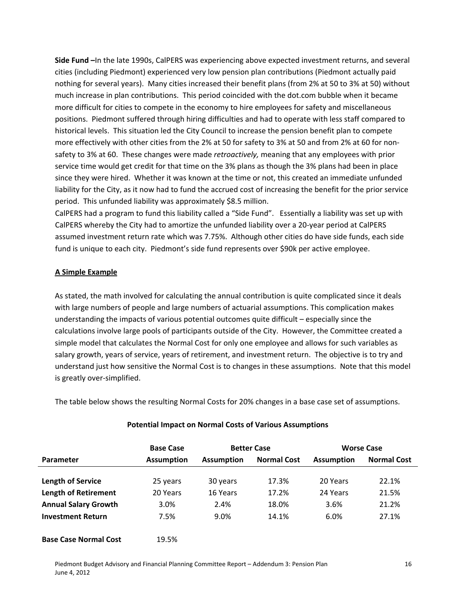**Side Fund –**In the late 1990s, CalPERS was experiencing above expected investment returns, and several cities (including Piedmont) experienced very low pension plan contributions (Piedmont actually paid nothing for several years). Many cities increased their benefit plans (from 2% at 50 to 3% at 50) without much increase in plan contributions. This period coincided with the dot.com bubble when it became more difficult for cities to compete in the economy to hire employees for safety and miscellaneous positions. Piedmont suffered through hiring difficulties and had to operate with less staff compared to historical levels. This situation led the City Council to increase the pension benefit plan to compete more effectively with other cities from the 2% at 50 for safety to 3% at 50 and from 2% at 60 for nonsafety to 3% at 60. These changes were made *retroactively,* meaning that any employees with prior service time would get credit for that time on the 3% plans as though the 3% plans had been in place since they were hired. Whether it was known at the time or not, this created an immediate unfunded liability for the City, as it now had to fund the accrued cost of increasing the benefit for the prior service period. This unfunded liability was approximately \$8.5 million.

CalPERS had a program to fund this liability called a "Side Fund". Essentially a liability was set up with CalPERS whereby the City had to amortize the unfunded liability over a 20‐year period at CalPERS assumed investment return rate which was 7.75%. Although other cities do have side funds, each side fund is unique to each city. Piedmont's side fund represents over \$90k per active employee.

### **A Simple Example**

As stated, the math involved for calculating the annual contribution is quite complicated since it deals with large numbers of people and large numbers of actuarial assumptions. This complication makes understanding the impacts of various potential outcomes quite difficult – especially since the calculations involve large pools of participants outside of the City. However, the Committee created a simple model that calculates the Normal Cost for only one employee and allows for such variables as salary growth, years of service, years of retirement, and investment return. The objective is to try and understand just how sensitive the Normal Cost is to changes in these assumptions. Note that this model is greatly over‐simplified.

The table below shows the resulting Normal Costs for 20% changes in a base case set of assumptions.

|                              | <b>Base Case</b>  |                   | <b>Better Case</b> | <b>Worse Case</b> |                    |  |
|------------------------------|-------------------|-------------------|--------------------|-------------------|--------------------|--|
| Parameter                    | <b>Assumption</b> | <b>Assumption</b> | <b>Normal Cost</b> | <b>Assumption</b> | <b>Normal Cost</b> |  |
|                              |                   |                   |                    |                   |                    |  |
| <b>Length of Service</b>     | 25 years          | 30 years          | 17.3%              | 20 Years          | 22.1%              |  |
| <b>Length of Retirement</b>  | 20 Years          | 16 Years          | 17.2%              | 24 Years          | 21.5%              |  |
| <b>Annual Salary Growth</b>  | 3.0%              | 2.4%              | 18.0%              | 3.6%              | 21.2%              |  |
| <b>Investment Return</b>     | 7.5%              | 9.0%              | 14.1%              | 6.0%              | 27.1%              |  |
| <b>Base Case Normal Cost</b> | 19.5%             |                   |                    |                   |                    |  |

#### **Potential Impact on Normal Costs of Various Assumptions**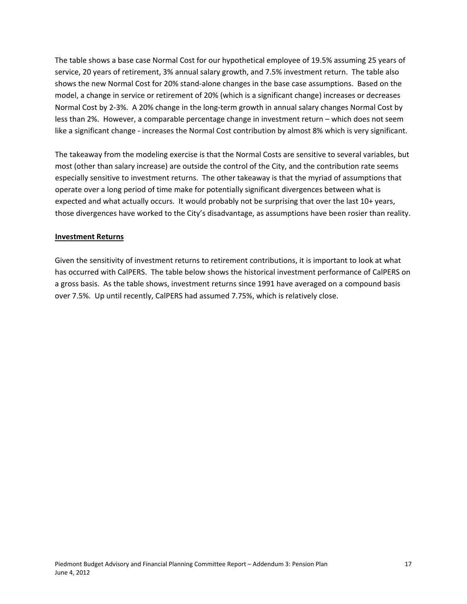The table shows a base case Normal Cost for our hypothetical employee of 19.5% assuming 25 years of service, 20 years of retirement, 3% annual salary growth, and 7.5% investment return. The table also shows the new Normal Cost for 20% stand‐alone changes in the base case assumptions. Based on the model, a change in service or retirement of 20% (which is a significant change) increases or decreases Normal Cost by 2‐3%. A 20% change in the long‐term growth in annual salary changes Normal Cost by less than 2%. However, a comparable percentage change in investment return – which does not seem like a significant change ‐ increases the Normal Cost contribution by almost 8% which is very significant.

The takeaway from the modeling exercise is that the Normal Costs are sensitive to several variables, but most (other than salary increase) are outside the control of the City, and the contribution rate seems especially sensitive to investment returns. The other takeaway is that the myriad of assumptions that operate over a long period of time make for potentially significant divergences between what is expected and what actually occurs. It would probably not be surprising that over the last 10+ years, those divergences have worked to the City's disadvantage, as assumptions have been rosier than reality.

#### **Investment Returns**

Given the sensitivity of investment returns to retirement contributions, it is important to look at what has occurred with CalPERS. The table below shows the historical investment performance of CalPERS on a gross basis. As the table shows, investment returns since 1991 have averaged on a compound basis over 7.5%. Up until recently, CalPERS had assumed 7.75%, which is relatively close.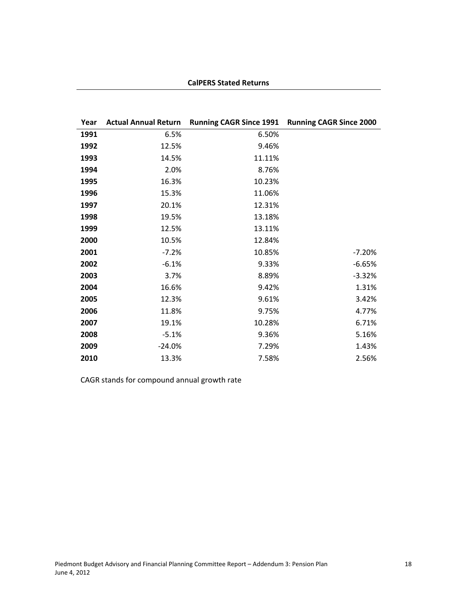### **CalPERS Stated Returns**

| Year |          | Actual Annual Return Running CAGR Since 1991 Running CAGR Since 2000 |          |
|------|----------|----------------------------------------------------------------------|----------|
| 1991 | 6.5%     | 6.50%                                                                |          |
| 1992 | 12.5%    | 9.46%                                                                |          |
| 1993 | 14.5%    | 11.11%                                                               |          |
| 1994 | 2.0%     | 8.76%                                                                |          |
| 1995 | 16.3%    | 10.23%                                                               |          |
| 1996 | 15.3%    | 11.06%                                                               |          |
| 1997 | 20.1%    | 12.31%                                                               |          |
| 1998 | 19.5%    | 13.18%                                                               |          |
| 1999 | 12.5%    | 13.11%                                                               |          |
| 2000 | 10.5%    | 12.84%                                                               |          |
| 2001 | $-7.2%$  | 10.85%                                                               | $-7.20%$ |
| 2002 | $-6.1%$  | 9.33%                                                                | $-6.65%$ |
| 2003 | 3.7%     | 8.89%                                                                | $-3.32%$ |
| 2004 | 16.6%    | 9.42%                                                                | 1.31%    |
| 2005 | 12.3%    | 9.61%                                                                | 3.42%    |
| 2006 | 11.8%    | 9.75%                                                                | 4.77%    |
| 2007 | 19.1%    | 10.28%                                                               | 6.71%    |
| 2008 | $-5.1%$  | 9.36%                                                                | 5.16%    |
| 2009 | $-24.0%$ | 7.29%                                                                | 1.43%    |
| 2010 | 13.3%    | 7.58%                                                                | 2.56%    |

CAGR stands for compound annual growth rate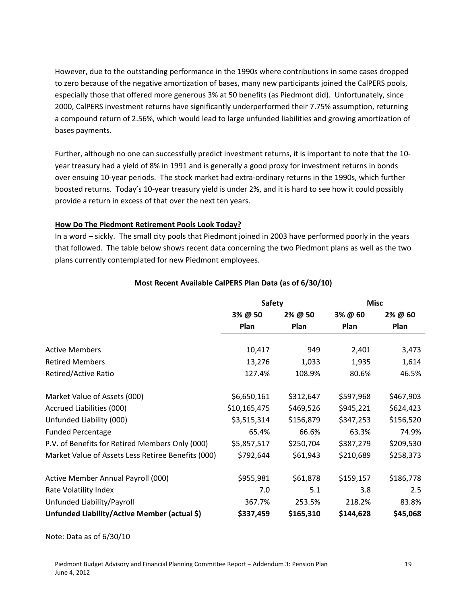However, due to the outstanding performance in the 1990s where contributions in some cases dropped to zero because of the negative amortization of bases, many new participants joined the CalPERS pools, especially those that offered more generous 3% at 50 benefits (as Piedmont did). Unfortunately, since 2000, CalPERS investment returns have significantly underperformed their 7.75% assumption, returning a compound return of 2.56%, which would lead to large unfunded liabilities and growing amortization of bases payments.

Further, although no one can successfully predict investment returns, it is important to note that the 10‐ year treasury had a yield of 8% in 1991 and is generally a good proxy for investment returns in bonds over ensuing 10‐year periods. The stock market had extra‐ordinary returns in the 1990s, which further boosted returns. Today's 10‐year treasury yield is under 2%, and it is hard to see how it could possibly provide a return in excess of that over the next ten years.

### **How Do The Piedmont Retirement Pools Look Today?**

In a word – sickly. The small city pools that Piedmont joined in 2003 have performed poorly in the years that followed. The table below shows recent data concerning the two Piedmont plans as well as the two plans currently contemplated for new Piedmont employees.

|                                                    | <b>Safety</b> |           | <b>Misc</b> |           |  |
|----------------------------------------------------|---------------|-----------|-------------|-----------|--|
|                                                    | 3% @ 50       | 2% @ 50   | 3% @ 60     | 2% @ 60   |  |
|                                                    | Plan          | Plan      | Plan        | Plan      |  |
| <b>Active Members</b>                              | 10,417        | 949       | 2,401       | 3,473     |  |
| <b>Retired Members</b>                             | 13,276        | 1,033     | 1,935       | 1,614     |  |
| Retired/Active Ratio                               | 127.4%        | 108.9%    | 80.6%       | 46.5%     |  |
| Market Value of Assets (000)                       | \$6,650,161   | \$312,647 | \$597,968   | \$467,903 |  |
| Accrued Liabilities (000)                          | \$10,165,475  | \$469,526 | \$945,221   | \$624,423 |  |
| Unfunded Liability (000)                           | \$3,515,314   | \$156,879 | \$347,253   | \$156,520 |  |
| <b>Funded Percentage</b>                           | 65.4%         | 66.6%     | 63.3%       | 74.9%     |  |
| P.V. of Benefits for Retired Members Only (000)    | \$5,857,517   | \$250,704 | \$387,279   | \$209,530 |  |
| Market Value of Assets Less Retiree Benefits (000) | \$792,644     | \$61,943  | \$210,689   | \$258,373 |  |
| Active Member Annual Payroll (000)                 | \$955,981     | \$61,878  | \$159,157   | \$186,778 |  |
| Rate Volatility Index                              | 7.0           | 5.1       | 3.8         | 2.5       |  |
| Unfunded Liability/Payroll                         | 367.7%        | 253.5%    | 218.2%      | 83.8%     |  |
| Unfunded Liability/Active Member (actual \$)       | \$337,459     | \$165,310 | \$144,628   | \$45,068  |  |

### **Most Recent Available CalPERS Plan Data (as of 6/30/10)**

Note: Data as of 6/30/10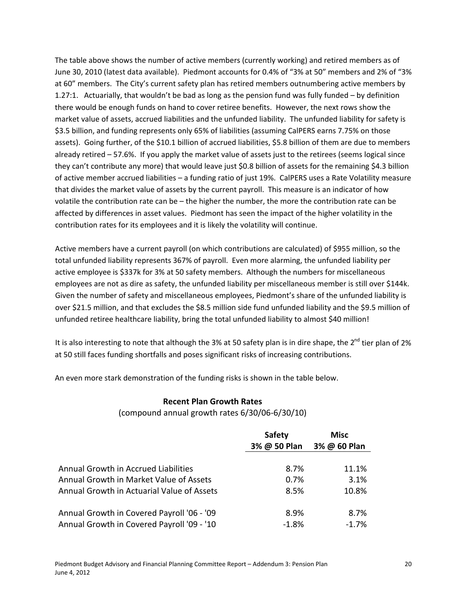The table above shows the number of active members (currently working) and retired members as of June 30, 2010 (latest data available). Piedmont accounts for 0.4% of "3% at 50" members and 2% of "3% at 60" members. The City's current safety plan has retired members outnumbering active members by 1.27:1. Actuarially, that wouldn't be bad as long as the pension fund was fully funded – by definition there would be enough funds on hand to cover retiree benefits. However, the next rows show the market value of assets, accrued liabilities and the unfunded liability. The unfunded liability for safety is \$3.5 billion, and funding represents only 65% of liabilities (assuming CalPERS earns 7.75% on those assets). Going further, of the \$10.1 billion of accrued liabilities, \$5.8 billion of them are due to members already retired – 57.6%. If you apply the market value of assets just to the retirees (seems logical since they can't contribute any more) that would leave just \$0.8 billion of assets for the remaining \$4.3 billion of active member accrued liabilities – a funding ratio of just 19%. CalPERS uses a Rate Volatility measure that divides the market value of assets by the current payroll. This measure is an indicator of how volatile the contribution rate can be – the higher the number, the more the contribution rate can be affected by differences in asset values. Piedmont has seen the impact of the higher volatility in the contribution rates for its employees and it is likely the volatility will continue.

Active members have a current payroll (on which contributions are calculated) of \$955 million, so the total unfunded liability represents 367% of payroll. Even more alarming, the unfunded liability per active employee is \$337k for 3% at 50 safety members. Although the numbers for miscellaneous employees are not as dire as safety, the unfunded liability per miscellaneous member is still over \$144k. Given the number of safety and miscellaneous employees, Piedmont's share of the unfunded liability is over \$21.5 million, and that excludes the \$8.5 million side fund unfunded liability and the \$9.5 million of unfunded retiree healthcare liability, bring the total unfunded liability to almost \$40 million!

It is also interesting to note that although the 3% at 50 safety plan is in dire shape, the 2<sup>nd</sup> tier plan of 2% at 50 still faces funding shortfalls and poses significant risks of increasing contributions.

An even more stark demonstration of the funding risks is shown in the table below.

# **Recent Plan Growth Rates**

### (compound annual growth rates 6/30/06‐6/30/10)

|                                            | <b>Safety</b><br>3% @ 50 Plan | Misc<br>3% @ 60 Plan |  |  |
|--------------------------------------------|-------------------------------|----------------------|--|--|
| Annual Growth in Accrued Liabilities       | 8.7%                          | 11.1%                |  |  |
| Annual Growth in Market Value of Assets    | 0.7%                          | 3.1%                 |  |  |
| Annual Growth in Actuarial Value of Assets | 8.5%                          | 10.8%                |  |  |
| Annual Growth in Covered Payroll '06 - '09 | 8.9%                          | 8.7%                 |  |  |
| Annual Growth in Covered Payroll '09 - '10 | $-1.8%$                       | $-1.7%$              |  |  |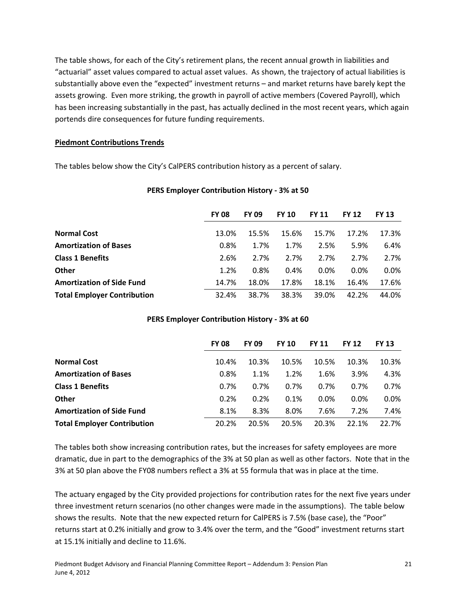The table shows, for each of the City's retirement plans, the recent annual growth in liabilities and "actuarial" asset values compared to actual asset values. As shown, the trajectory of actual liabilities is substantially above even the "expected" investment returns – and market returns have barely kept the assets growing. Even more striking, the growth in payroll of active members (Covered Payroll), which has been increasing substantially in the past, has actually declined in the most recent years, which again portends dire consequences for future funding requirements.

### **Piedmont Contributions Trends**

The tables below show the City's CalPERS contribution history as a percent of salary.

|                                    | <b>FY 08</b> | <b>FY 09</b> | <b>FY 10</b> | <b>FY 11</b> | <b>FY 12</b> | <b>FY 13</b> |
|------------------------------------|--------------|--------------|--------------|--------------|--------------|--------------|
| <b>Normal Cost</b>                 | 13.0%        | 15.5%        | 15.6%        | 15.7%        | 17.2%        | 17.3%        |
| <b>Amortization of Bases</b>       | 0.8%         | 1.7%         | 1.7%         | 2.5%         | 5.9%         | 6.4%         |
| <b>Class 1 Benefits</b>            | 2.6%         | 2.7%         | 2.7%         | 2.7%         | 2.7%         | 2.7%         |
| <b>Other</b>                       | 1.2%         | 0.8%         | 0.4%         | 0.0%         | 0.0%         | 0.0%         |
| <b>Amortization of Side Fund</b>   | 14.7%        | 18.0%        | 17.8%        | 18.1%        | 16.4%        | 17.6%        |
| <b>Total Employer Contribution</b> | 32.4%        | 38.7%        | 38.3%        | 39.0%        | 42.2%        | 44.0%        |

#### **PERS Employer Contribution History ‐ 3% at 50**

| <b>PERS Employer Contribution History - 3% at 60</b> |  |
|------------------------------------------------------|--|
|------------------------------------------------------|--|

|                                    | <b>FY 08</b> | <b>FY 09</b> | <b>FY 10</b> | <b>FY 11</b> | <b>FY 12</b> | <b>FY 13</b> |
|------------------------------------|--------------|--------------|--------------|--------------|--------------|--------------|
| <b>Normal Cost</b>                 | 10.4%        | 10.3%        | 10.5%        | 10.5%        | 10.3%        | 10.3%        |
| <b>Amortization of Bases</b>       | 0.8%         | 1.1%         | 1.2%         | 1.6%         | 3.9%         | 4.3%         |
| <b>Class 1 Benefits</b>            | 0.7%         | 0.7%         | 0.7%         | 0.7%         | 0.7%         | 0.7%         |
| <b>Other</b>                       | 0.2%         | 0.2%         | 0.1%         | 0.0%         | 0.0%         | $0.0\%$      |
| <b>Amortization of Side Fund</b>   | 8.1%         | 8.3%         | 8.0%         | 7.6%         | 7.2%         | 7.4%         |
| <b>Total Employer Contribution</b> | 20.2%        | 20.5%        | 20.5%        | 20.3%        | 22.1%        | 22.7%        |

The tables both show increasing contribution rates, but the increases for safety employees are more dramatic, due in part to the demographics of the 3% at 50 plan as well as other factors. Note that in the 3% at 50 plan above the FY08 numbers reflect a 3% at 55 formula that was in place at the time.

The actuary engaged by the City provided projections for contribution rates for the next five years under three investment return scenarios (no other changes were made in the assumptions). The table below shows the results. Note that the new expected return for CalPERS is 7.5% (base case), the "Poor" returns start at 0.2% initially and grow to 3.4% over the term, and the "Good" investment returns start at 15.1% initially and decline to 11.6%.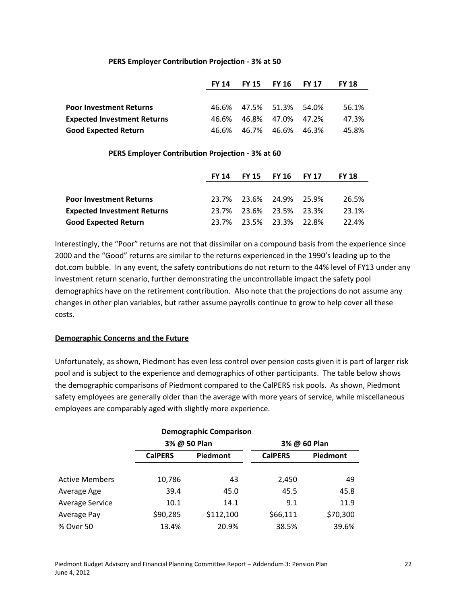#### **PERS Employer Contribution Projection ‐ 3% at 50**

|                                    | FY 14 | FY 15 FY 16 FY 17       |                   | <b>FY 18</b> |
|------------------------------------|-------|-------------------------|-------------------|--------------|
|                                    |       |                         |                   |              |
| <b>Poor Investment Returns</b>     |       | 46.6% 47.5% 51.3% 54.0% |                   | 56.1%        |
| <b>Expected Investment Returns</b> | 46.6% |                         | 46.8% 47.0% 47.2% | 47.3%        |
| <b>Good Expected Return</b>        |       | 46.6% 46.7% 46.6% 46.3% |                   | 45.8%        |

#### **PERS Employer Contribution Projection ‐ 3% at 60**

|                                    | FY 14 |                         | FY 15 FY 16 FY 17 | <b>FY 18</b> |
|------------------------------------|-------|-------------------------|-------------------|--------------|
|                                    |       |                         |                   |              |
| <b>Poor Investment Returns</b>     |       | 23.7% 23.6% 24.9% 25.9% |                   | 26.5%        |
| <b>Expected Investment Returns</b> |       | 23.7% 23.6% 23.5% 23.3% |                   | 23.1%        |
| <b>Good Expected Return</b>        |       | 23.7% 23.5% 23.3% 22.8% |                   | 22.4%        |

Interestingly, the "Poor" returns are not that dissimilar on a compound basis from the experience since 2000 and the "Good" returns are similar to the returns experienced in the 1990's leading up to the dot.com bubble. In any event, the safety contributions do not return to the 44% level of FY13 under any investment return scenario, further demonstrating the uncontrollable impact the safety pool demographics have on the retirement contribution. Also note that the projections do not assume any changes in other plan variables, but rather assume payrolls continue to grow to help cover all these costs.

#### **Demographic Concerns and the Future**

Unfortunately, as shown, Piedmont has even less control over pension costs given it is part of larger risk pool and is subject to the experience and demographics of other participants. The table below shows the demographic comparisons of Piedmont compared to the CalPERS risk pools. As shown, Piedmont safety employees are generally older than the average with more years of service, while miscellaneous employees are comparably aged with slightly more experience.

| <b>Demographic Comparison</b> |                |              |                |          |  |  |  |  |  |
|-------------------------------|----------------|--------------|----------------|----------|--|--|--|--|--|
|                               |                | 3% @ 50 Plan | 3% @ 60 Plan   |          |  |  |  |  |  |
|                               | <b>CalPERS</b> | Piedmont     | <b>CalPERS</b> | Piedmont |  |  |  |  |  |
|                               |                |              |                |          |  |  |  |  |  |
| <b>Active Members</b>         | 10,786         | 43           | 2,450          | 49       |  |  |  |  |  |
| Average Age                   | 39.4           | 45.0         | 45.5           | 45.8     |  |  |  |  |  |
| <b>Average Service</b>        | 10.1           | 14.1         | 9.1            | 11.9     |  |  |  |  |  |
| Average Pay                   | \$90,285       | \$112,100    | \$66,111       | \$70,300 |  |  |  |  |  |
| % Over 50                     | 13.4%          | 20.9%        | 38.5%          | 39.6%    |  |  |  |  |  |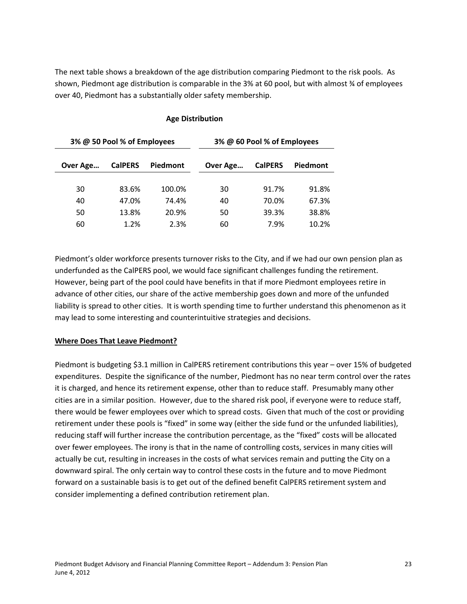The next table shows a breakdown of the age distribution comparing Piedmont to the risk pools. As hown, Piedmont age distribution is comparable in the 3% at 60 pool, but with almost ¾ of employees s over 40, Piedmont has a substantially older safety membership.

#### **Age Distribution**

| 3% @ 50 Pool % of Employees |                |          | 3% @ 60 Pool % of Employees |                |          |
|-----------------------------|----------------|----------|-----------------------------|----------------|----------|
| Over Age                    | <b>CalPERS</b> | Piedmont | Over Age                    | <b>CalPERS</b> | Piedmont |
| 30                          | 83.6%          | 100.0%   | 30                          | 91.7%          | 91.8%    |
| 40                          | 47.0%          | 74.4%    | 40                          | 70.0%          | 67.3%    |
| 50                          | 13.8%          | 20.9%    | 50                          | 39.3%          | 38.8%    |
| 60                          | 1.2%           | 2.3%     | 60                          | 7.9%           | 10.2%    |

Piedmont's older workforce presents turnover risks to the City, and if we had our own pension plan as underfunded as the CalPERS pool, we would face significant challenges funding the retirement. However, being part of the pool could have benefits in that if more Piedmont employees retire in advance of other cities, our share of the active membership goes down and more of the unfunded liability is spread to other cities. It is worth spending time to further understand this phenomenon as it may lead to some interesting and counterintuitive strategies and decisions.

#### **Where Does That Leave Piedmont?**

Piedmont is budgeting \$3.1 million in CalPERS retirement contributions this year – over 15% of budgeted expenditures. Despite the significance of the number, Piedmont has no near term control over the rates it is charged, and hence its retirement expense, other than to reduce staff. Presumably many other cities are in a similar position. However, due to the shared risk pool, if everyone were to reduce staff, there would be fewer employees over which to spread costs. Given that much of the cost or providing retirement under these pools is "fixed" in some way (either the side fund or the unfunded liabilities), reducing staff will further increase the contribution percentage, as the "fixed" costs will be allocated over fewer employees. The irony is that in the name of controlling costs, services in many cities will actually be cut, resulting in increases in the costs of what services remain and putting the City on a downward spiral. The only certain way to control these costs in the future and to move Piedmont forward on a sustainable basis is to get out of the defined benefit CalPERS retirement system and consider implementing a defined contribution retirement plan.